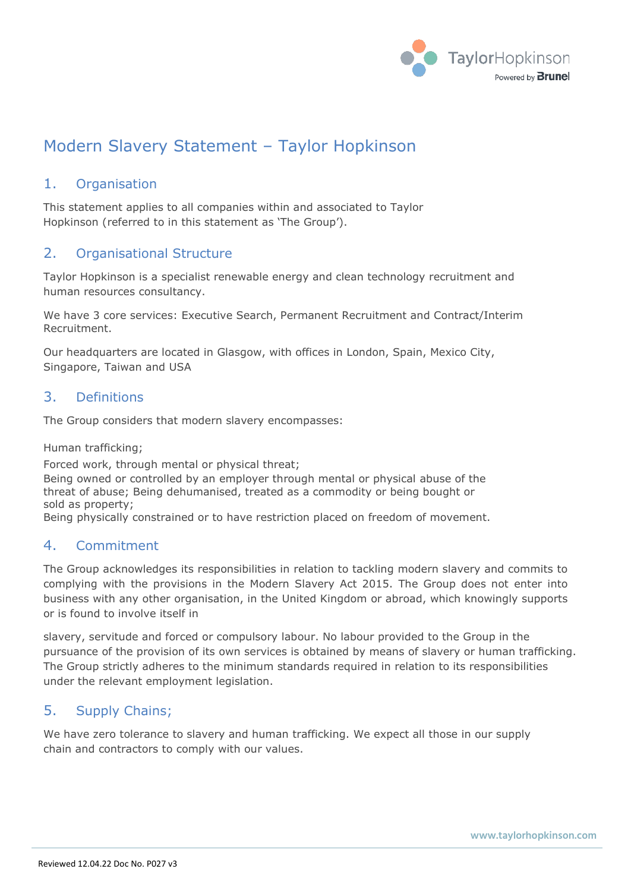

# Modern Slavery Statement – Taylor Hopkinson

## 1. Organisation

This statement applies to all companies within and associated to Taylor Hopkinson (referred to in this statement as 'The Group').

#### 2. Organisational Structure

Taylor Hopkinson is a specialist renewable energy and clean technology recruitment and human resources consultancy.

We have 3 core services: Executive Search, Permanent Recruitment and Contract/Interim Recruitment.

Our headquarters are located in Glasgow, with offices in London, Spain, Mexico City, Singapore, Taiwan and USA

#### 3. Definitions

The Group considers that modern slavery encompasses:

Human trafficking;

Forced work, through mental or physical threat; Being owned or controlled by an employer through mental or physical abuse of the threat of abuse; Being dehumanised, treated as a commodity or being bought or sold as property;

Being physically constrained or to have restriction placed on freedom of movement.

#### 4. Commitment

The Group acknowledges its responsibilities in relation to tackling modern slavery and commits to complying with the provisions in the Modern Slavery Act 2015. The Group does not enter into business with any other organisation, in the United Kingdom or abroad, which knowingly supports or is found to involve itself in

slavery, servitude and forced or compulsory labour. No labour provided to the Group in the pursuance of the provision of its own services is obtained by means of slavery or human trafficking. The Group strictly adheres to the minimum standards required in relation to its responsibilities under the relevant employment legislation.

#### 5. Supply Chains;

We have zero tolerance to slavery and human trafficking. We expect all those in our supply chain and contractors to comply with our values.